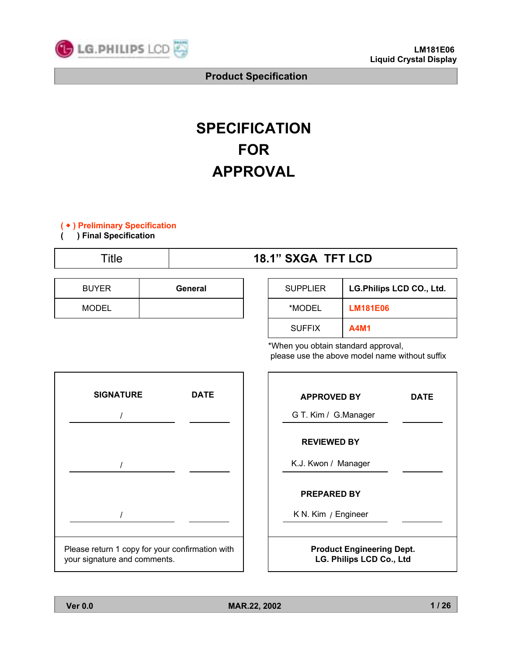

# **SPECIFICATION FOR APPROVAL**

#### **(** ◆ **) Preliminary Specification**

**( ) Final Specification**

# Title **18.1<sup>n</sup> SXGA TFT LCD**

| <b>BUYER</b> | General | <b>SUPPLIER</b> | <b>LG.Philips LCD CO., Ltd.</b> |
|--------------|---------|-----------------|---------------------------------|
| <b>MODEL</b> |         | *MODEL          | <b>LM181E06</b>                 |
|              |         | <b>SUFFIX</b>   | <b>A4M1</b>                     |

\*When you obtain standard approval, please use the above model name without suffix



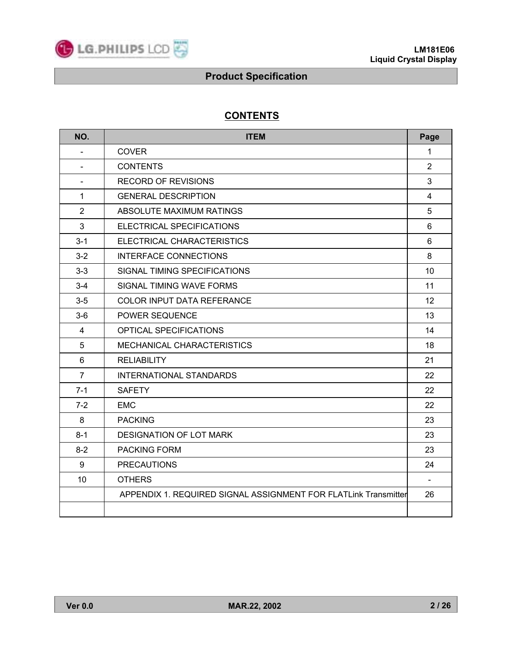

# **CONTENTS**

| NO.                      | <b>ITEM</b>                                                     | Page           |
|--------------------------|-----------------------------------------------------------------|----------------|
| $\blacksquare$           | <b>COVER</b>                                                    | $\mathbf{1}$   |
| $\blacksquare$           | <b>CONTENTS</b>                                                 | $\overline{2}$ |
| $\overline{\phantom{a}}$ | <b>RECORD OF REVISIONS</b>                                      | 3              |
| 1                        | <b>GENERAL DESCRIPTION</b>                                      | $\overline{4}$ |
| $\overline{2}$           | ABSOLUTE MAXIMUM RATINGS                                        | 5              |
| $\mathbf{3}$             | ELECTRICAL SPECIFICATIONS                                       | 6              |
| $3 - 1$                  | <b>ELECTRICAL CHARACTERISTICS</b>                               | 6              |
| $3 - 2$                  | <b>INTERFACE CONNECTIONS</b>                                    | 8              |
| $3 - 3$                  | SIGNAL TIMING SPECIFICATIONS                                    | 10             |
| $3 - 4$                  | SIGNAL TIMING WAVE FORMS                                        | 11             |
| $3-5$                    | <b>COLOR INPUT DATA REFERANCE</b>                               | 12             |
| $3-6$                    | POWER SEQUENCE                                                  | 13             |
| 4                        | OPTICAL SPECIFICATIONS                                          | 14             |
| 5                        | MECHANICAL CHARACTERISTICS                                      | 18             |
| 6                        | <b>RELIABILITY</b>                                              | 21             |
| $\overline{7}$           | <b>INTERNATIONAL STANDARDS</b>                                  | 22             |
| $7 - 1$                  | <b>SAFETY</b>                                                   | 22             |
| $7 - 2$                  | <b>EMC</b>                                                      | 22             |
| 8                        | <b>PACKING</b>                                                  | 23             |
| $8 - 1$                  | <b>DESIGNATION OF LOT MARK</b>                                  | 23             |
| $8 - 2$                  | <b>PACKING FORM</b>                                             | 23             |
| 9                        | <b>PRECAUTIONS</b>                                              | 24             |
| 10                       | <b>OTHERS</b>                                                   | $\blacksquare$ |
|                          | APPENDIX 1. REQUIRED SIGNAL ASSIGNMENT FOR FLATLink Transmitter | 26             |
|                          |                                                                 |                |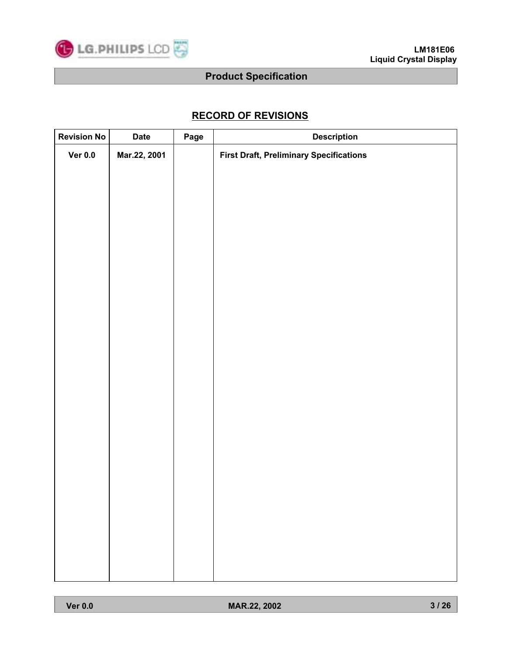

# **RECORD OF REVISIONS**

| <b>Revision No</b> | <b>Date</b>  | Page | <b>Description</b>                             |
|--------------------|--------------|------|------------------------------------------------|
| Ver 0.0            | Mar.22, 2001 |      | <b>First Draft, Preliminary Specifications</b> |
|                    |              |      |                                                |
|                    |              |      |                                                |
|                    |              |      |                                                |
|                    |              |      |                                                |
|                    |              |      |                                                |
|                    |              |      |                                                |
|                    |              |      |                                                |
|                    |              |      |                                                |
|                    |              |      |                                                |
|                    |              |      |                                                |
|                    |              |      |                                                |
|                    |              |      |                                                |
|                    |              |      |                                                |
|                    |              |      |                                                |
|                    |              |      |                                                |
|                    |              |      |                                                |
|                    |              |      |                                                |
|                    |              |      |                                                |
|                    |              |      |                                                |
|                    |              |      |                                                |
|                    |              |      |                                                |
|                    |              |      |                                                |
|                    |              |      |                                                |
|                    |              |      |                                                |
|                    |              |      |                                                |
|                    |              |      |                                                |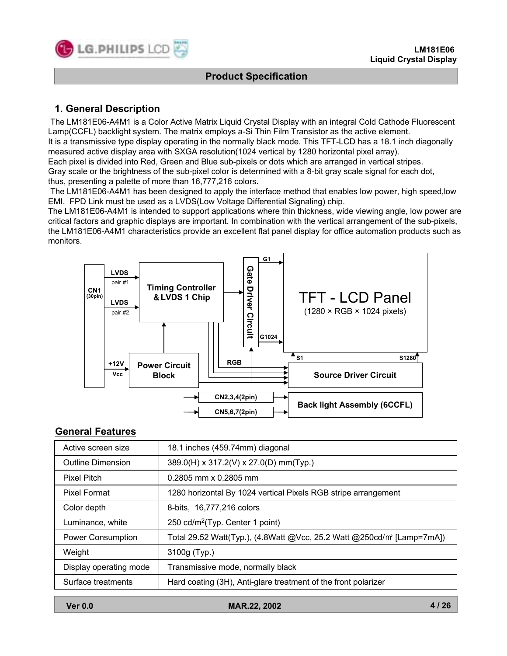

# **1. General Description**

The LM181E06-A4M1 is a Color Active Matrix Liquid Crystal Display with an integral Cold Cathode Fluorescent Lamp(CCFL) backlight system. The matrix employs a-Si Thin Film Transistor as the active element.

It is a transmissive type display operating in the normally black mode. This TFT-LCD has a 18.1 inch diagonally measured active display area with SXGA resolution(1024 vertical by 1280 horizontal pixel array).

Each pixel is divided into Red, Green and Blue sub-pixels or dots which are arranged in vertical stripes.

Gray scale or the brightness of the sub-pixel color is determined with a 8-bit gray scale signal for each dot, thus, presenting a palette of more than 16,777,216 colors.

The LM181E06-A4M1 has been designed to apply the interface method that enables low power, high speed,low EMI. FPD Link must be used as a LVDS(Low Voltage Differential Signaling) chip.

The LM181E06-A4M1 is intended to support applications where thin thickness, wide viewing angle, low power are critical factors and graphic displays are important. In combination with the vertical arrangement of the sub-pixels, the LM181E06-A4M1 characteristics provide an excellent flat panel display for office automation products such as monitors.



#### **General Features**

| Active screen size       | 18.1 inches (459.74mm) diagonal                                                    |  |  |  |  |  |  |
|--------------------------|------------------------------------------------------------------------------------|--|--|--|--|--|--|
| <b>Outline Dimension</b> | 389.0(H) x 317.2(V) x 27.0(D) mm(Typ.)                                             |  |  |  |  |  |  |
| <b>Pixel Pitch</b>       | $0.2805$ mm x 0.2805 mm                                                            |  |  |  |  |  |  |
| <b>Pixel Format</b>      | 1280 horizontal By 1024 vertical Pixels RGB stripe arrangement                     |  |  |  |  |  |  |
| Color depth              | 8-bits, 16,777,216 colors                                                          |  |  |  |  |  |  |
| Luminance, white         | 250 cd/m <sup>2</sup> (Typ. Center 1 point)                                        |  |  |  |  |  |  |
| <b>Power Consumption</b> | Total 29.52 Watt(Typ.), (4.8Watt @Vcc, 25.2 Watt @250cd/m <sup>2</sup> [Lamp=7mA]) |  |  |  |  |  |  |
| Weight                   | 3100g (Typ.)                                                                       |  |  |  |  |  |  |
| Display operating mode   | Transmissive mode, normally black                                                  |  |  |  |  |  |  |
| Surface treatments       | Hard coating (3H), Anti-glare treatment of the front polarizer                     |  |  |  |  |  |  |

**Ver 0.0 MAR.22, 2002**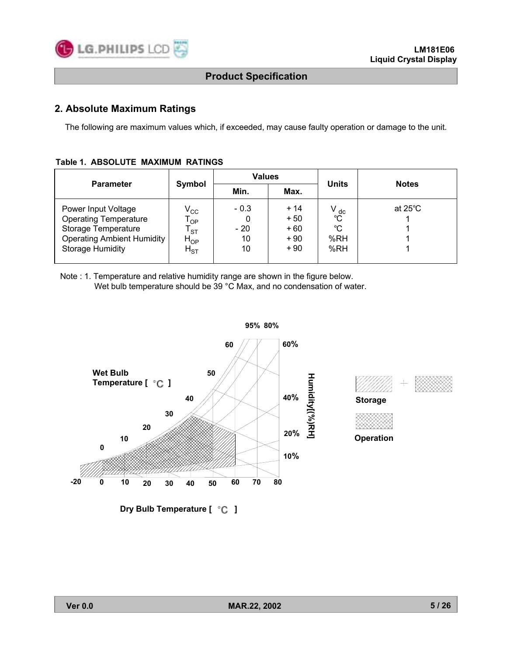

### **2. Absolute Maximum Ratings**

The following are maximum values which, if exceeded, may cause faulty operation or damage to the unit.

| Table 1. ABSOLUTE MAXIMUM RATINGS |
|-----------------------------------|
|-----------------------------------|

| Symbol<br><b>Parameter</b>                                                                                                                                                                                                                       |                             |                                           |                                                       |                   |  |  |  |  |
|--------------------------------------------------------------------------------------------------------------------------------------------------------------------------------------------------------------------------------------------------|-----------------------------|-------------------------------------------|-------------------------------------------------------|-------------------|--|--|--|--|
|                                                                                                                                                                                                                                                  | Min.                        | Max.                                      | <b>Units</b>                                          | <b>Notes</b>      |  |  |  |  |
| Power Input Voltage<br>$\rm V_{CC}$<br><b>Operating Temperature</b><br>$\mathsf{T}_{\mathsf{OP}}$<br>Storage Temperature<br><b>ST</b><br><b>Operating Ambient Humidity</b><br>${\sf H}_{\sf OP}$<br><b>Storage Humidity</b><br>$H_{\mathrm{ST}}$ | $-0.3$<br>$-20$<br>10<br>10 | $+14$<br>$+50$<br>$+60$<br>$+90$<br>$+90$ | $V_{\text{o}^\text{dc}}$<br>$^{\circ}C$<br>%RH<br>%RH | at $25^{\circ}$ C |  |  |  |  |

Note : 1. Temperature and relative humidity range are shown in the figure below. Wet bulb temperature should be 39 °C Max, and no condensation of water.







**Dry Bulb Temperature [ °C ]**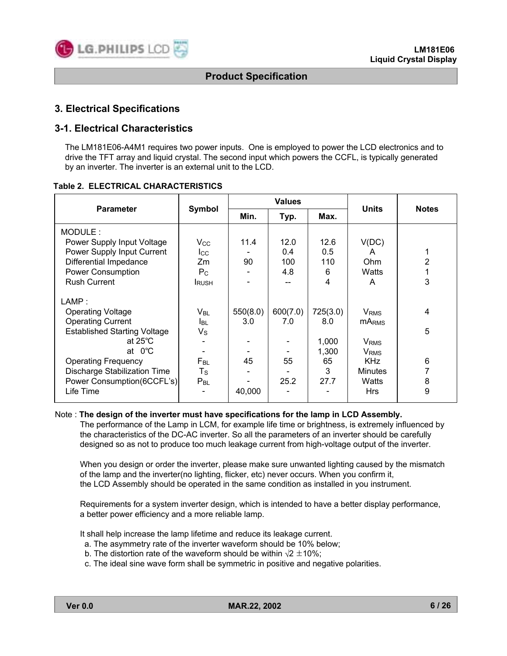

# **3. Electrical Specifications**

### **3-1. Electrical Characteristics**

The LM181E06-A4M1 requires two power inputs. One is employed to power the LCD electronics and to drive the TFT array and liquid crystal. The second input which powers the CCFL, is typically generated by an inverter. The inverter is an external unit to the LCD.

|                                     |                 |          | <b>Values</b> |          |                         |              |
|-------------------------------------|-----------------|----------|---------------|----------|-------------------------|--------------|
| <b>Parameter</b>                    | Symbol          | Min.     | Typ.          | Max.     | <b>Units</b>            | <b>Notes</b> |
| MODULE:                             |                 |          |               |          |                         |              |
| Power Supply Input Voltage          | $\rm V_{CC}$    | 11.4     | 12.0          | 12.6     | V(DC)                   |              |
| Power Supply Input Current          | $_{\rm lcc}$    |          | 0.4           | 0.5      | A                       |              |
| Differential Impedance              | Zm              | 90       | 100           | 110      | Ohm                     | 2            |
| <b>Power Consumption</b>            | $P_{\rm C}$     |          | 4.8           | 6        | Watts                   |              |
| <b>Rush Current</b>                 | <b>I</b> RUSH   |          |               | 4        | A                       | 3            |
| LAMP:                               |                 |          |               |          |                         |              |
| <b>Operating Voltage</b>            | V <sub>BL</sub> | 550(8.0) | 600(7.0)      | 725(3.0) | <b>V</b> <sub>RMS</sub> | 4            |
| <b>Operating Current</b>            | <b>I</b> BL     | 3.0      | 7.0           | 8.0      | <b>MARMS</b>            |              |
| <b>Established Starting Voltage</b> | $V_{\rm S}$     |          |               |          |                         | 5            |
| at $25^{\circ}$ C                   |                 |          |               | 1,000    | <b>V</b> <sub>RMS</sub> |              |
| at $0^{\circ}$ C                    |                 |          |               | 1,300    | <b>V</b> <sub>RMS</sub> |              |
| <b>Operating Frequency</b>          | $F_{BL}$        | 45       | 55            | 65       | <b>KHz</b>              | 6            |
| Discharge Stabilization Time        | $T_{\rm S}$     |          |               | 3        | <b>Minutes</b>          |              |
| Power Consumption(6CCFL's)          | $P_{BL}$        |          | 25.2          | 27.7     | Watts                   | 8            |
| Life Time                           |                 | 40,000   |               |          | <b>Hrs</b>              | 9            |

#### **Table 2. ELECTRICAL CHARACTERISTICS**

# Note : **The design of the inverter must have specifications for the lamp in LCD Assembly.**

The performance of the Lamp in LCM, for example life time or brightness, is extremely influenced by the characteristics of the DC-AC inverter. So all the parameters of an inverter should be carefully designed so as not to produce too much leakage current from high-voltage output of the inverter.

When you design or order the inverter, please make sure unwanted lighting caused by the mismatch of the lamp and the inverter(no lighting, flicker, etc) never occurs. When you confirm it, the LCD Assembly should be operated in the same condition as installed in you instrument.

Requirements for a system inverter design, which is intended to have a better display performance, a better power efficiency and a more reliable lamp.

It shall help increase the lamp lifetime and reduce its leakage current.

- a. The asymmetry rate of the inverter waveform should be 10% below;
- b. The distortion rate of the waveform should be within  $\sqrt{2} \pm 10\%$ ;
- c. The ideal sine wave form shall be symmetric in positive and negative polarities.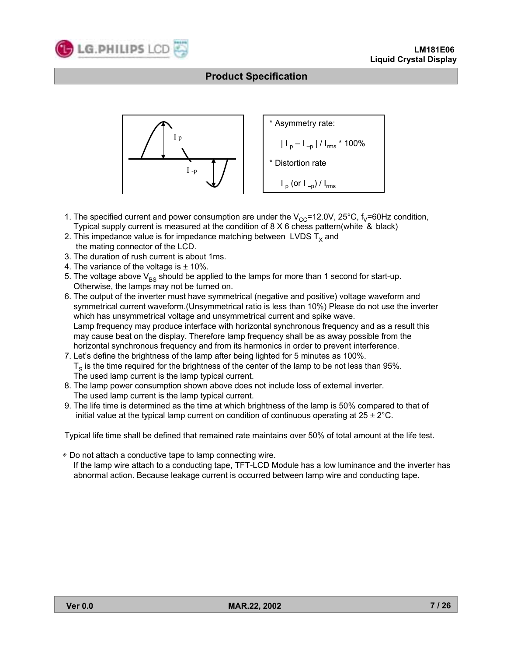



- 1. The specified current and power consumption are under the  $V_{CC}=12.0V$ , 25°C,  $f_V=60Hz$  condition, Typical supply current is measured at the condition of 8 X 6 chess pattern(white & black)
- 2. This impedance value is for impedance matching between LVDS  $T_x$  and the mating connector of the LCD.
- 3. The duration of rush current is about 1ms.
- 4. The variance of the voltage is  $\pm$  10%.
- 5. The voltage above  $V_{BS}$  should be applied to the lamps for more than 1 second for start-up. Otherwise, the lamps may not be turned on.
- 6. The output of the inverter must have symmetrical (negative and positive) voltage waveform and symmetrical current waveform.(Unsymmetrical ratio is less than 10%) Please do not use the inverter which has unsymmetrical voltage and unsymmetrical current and spike wave. Lamp frequency may produce interface with horizontal synchronous frequency and as a result this may cause beat on the display. Therefore lamp frequency shall be as away possible from the horizontal synchronous frequency and from its harmonics in order to prevent interference.
- 7. Letís define the brightness of the lamp after being lighted for 5 minutes as 100%.  $T<sub>S</sub>$  is the time required for the brightness of the center of the lamp to be not less than 95%. The used lamp current is the lamp typical current.
- 8. The lamp power consumption shown above does not include loss of external inverter. The used lamp current is the lamp typical current.
- 9. The life time is determined as the time at which brightness of the lamp is 50% compared to that of initial value at the typical lamp current on condition of continuous operating at  $25 \pm 2^{\circ}$ C.

Typical life time shall be defined that remained rate maintains over 50% of total amount at the life test.

◈ Do not attach a conductive tape to lamp connecting wire. If the lamp wire attach to a conducting tape, TFT-LCD Module has a low luminance and the inverter has abnormal action. Because leakage current is occurred between lamp wire and conducting tape.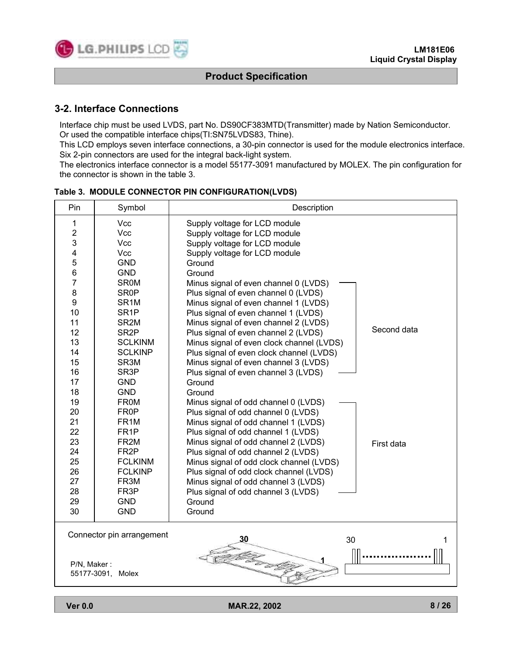

### **3-2. Interface Connections**

Interface chip must be used LVDS, part No. DS90CF383MTD(Transmitter) made by Nation Semiconductor. Or used the compatible interface chips(TI:SN75LVDS83, Thine).

This LCD employs seven interface connections, a 30-pin connector is used for the module electronics interface. Six 2-pin connectors are used for the integral back-light system.

The electronics interface connector is a model 55177-3091 manufactured by MOLEX. The pin configuration for the connector is shown in the table 3.

| Pin                     | Symbol                    | Description                                         |
|-------------------------|---------------------------|-----------------------------------------------------|
| 1                       | Vcc                       | Supply voltage for LCD module                       |
| $\overline{2}$          | Vcc                       | Supply voltage for LCD module                       |
| 3                       | Vcc                       | Supply voltage for LCD module                       |
| $\overline{\mathbf{4}}$ | <b>Vcc</b>                | Supply voltage for LCD module                       |
| 5                       | <b>GND</b>                | Ground                                              |
| 6                       | <b>GND</b>                | Ground                                              |
| $\overline{7}$          | <b>SR0M</b>               | Minus signal of even channel 0 (LVDS)               |
| 8                       | <b>SR0P</b>               | Plus signal of even channel 0 (LVDS)                |
| $\boldsymbol{9}$        | SR <sub>1</sub> M         | Minus signal of even channel 1 (LVDS)               |
| 10                      | SR <sub>1</sub> P         | Plus signal of even channel 1 (LVDS)                |
| 11                      | SR <sub>2</sub> M         | Minus signal of even channel 2 (LVDS)               |
| 12                      | SR <sub>2</sub> P         | Second data<br>Plus signal of even channel 2 (LVDS) |
| 13                      | <b>SCLKINM</b>            | Minus signal of even clock channel (LVDS)           |
| 14                      | <b>SCLKINP</b>            | Plus signal of even clock channel (LVDS)            |
| 15                      | SR <sub>3</sub> M         | Minus signal of even channel 3 (LVDS)               |
| 16                      | SR <sub>3</sub> P         | Plus signal of even channel 3 (LVDS)                |
| 17                      | <b>GND</b>                | Ground                                              |
| 18                      | <b>GND</b>                | Ground                                              |
| 19                      | <b>FR0M</b>               | Minus signal of odd channel 0 (LVDS)                |
| 20                      | FR <sub>0</sub> P         | Plus signal of odd channel 0 (LVDS)                 |
| 21                      | FR <sub>1</sub> M         | Minus signal of odd channel 1 (LVDS)                |
| 22                      | FR <sub>1</sub> P         | Plus signal of odd channel 1 (LVDS)                 |
| 23                      | FR <sub>2M</sub>          | Minus signal of odd channel 2 (LVDS)<br>First data  |
| 24                      | FR <sub>2</sub> P         | Plus signal of odd channel 2 (LVDS)                 |
| 25                      | <b>FCLKINM</b>            | Minus signal of odd clock channel (LVDS)            |
| 26                      | <b>FCLKINP</b>            | Plus signal of odd clock channel (LVDS)             |
| 27                      | FR3M                      | Minus signal of odd channel 3 (LVDS)                |
| 28                      | FR <sub>3</sub> P         | Plus signal of odd channel 3 (LVDS)                 |
| 29                      | <b>GND</b>                | Ground                                              |
| 30                      | <b>GND</b>                | Ground                                              |
|                         | Connector pin arrangement | 30<br>30<br>1                                       |
| P/N, Maker:             |                           |                                                     |
|                         | 55177-3091, Molex         |                                                     |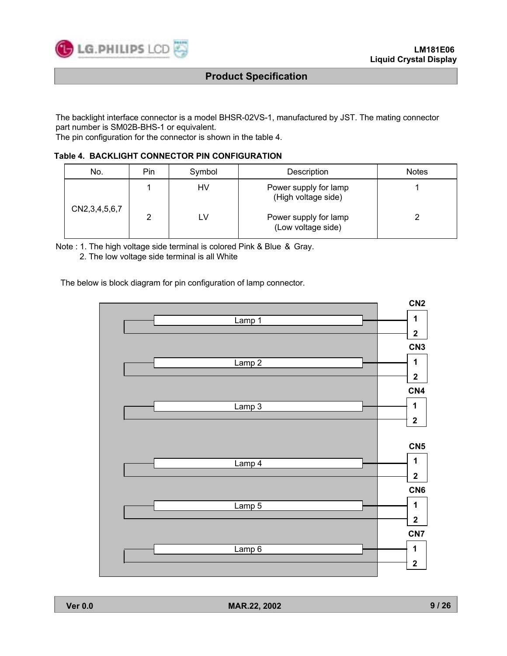

The backlight interface connector is a model BHSR-02VS-1, manufactured by JST. The mating connector part number is SM02B-BHS-1 or equivalent.

The pin configuration for the connector is shown in the table 4.

#### **Table 4. BACKLIGHT CONNECTOR PIN CONFIGURATION**

| No.                | Pin | Symbol | Description                                  | <b>Notes</b> |
|--------------------|-----|--------|----------------------------------------------|--------------|
|                    |     | HV     | Power supply for lamp<br>(High voltage side) |              |
| CN2, 3, 4, 5, 6, 7 | ົ   | LV     | Power supply for lamp<br>(Low voltage side)  |              |

Note : 1. The high voltage side terminal is colored Pink & Blue & Gray.

2. The low voltage side terminal is all White

The below is block diagram for pin configuration of lamp connector.

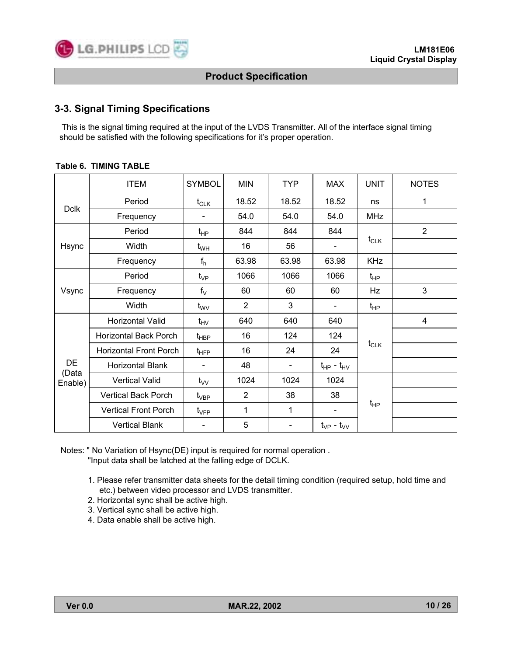

# **3-3. Signal Timing Specifications**

This is the signal timing required at the input of the LVDS Transmitter. All of the interface signal timing should be satisfied with the following specifications for it's proper operation.

|             | <b>ITEM</b>                   | <b>SYMBOL</b>    | <b>MIN</b>     | <b>TYP</b> | <b>MAX</b>          | <b>UNIT</b> | <b>NOTES</b>   |
|-------------|-------------------------------|------------------|----------------|------------|---------------------|-------------|----------------|
|             | Period                        | $t_{CLK}$        | 18.52          | 18.52      | 18.52               | ns          | 1              |
| <b>Dclk</b> | Frequency                     |                  | 54.0           | 54.0       | 54.0                | <b>MHz</b>  |                |
|             | Period                        | $t_{HP}$         | 844            | 844        | 844                 |             | $\overline{2}$ |
| Hsync       | Width                         | $t_{WH}$         | 16             | 56         | $\blacksquare$      | $t_{CLK}$   |                |
|             | Frequency                     | $f_h$            | 63.98          | 63.98      | 63.98               | <b>KHz</b>  |                |
| Vsync       | Period                        | $t_{VP}$         | 1066           | 1066       | 1066                | $t_{HP}$    |                |
|             | Frequency                     | $f_V$            | 60             | 60         | 60                  | Hz          | 3              |
|             | Width                         | $t_{\text{WV}}$  | $\overline{2}$ | 3          |                     | $t_{HP}$    |                |
|             | Horizontal Valid              | $t_{HV}$         | 640            | 640        | 640                 |             | 4              |
| DE          | Horizontal Back Porch         | $t_{\sf HBP}$    | 16             | 124        | 124                 |             |                |
|             | <b>Horizontal Front Porch</b> | $t_{\text{HFP}}$ | 16             | 24         | 24                  | $t_{CLK}$   |                |
|             | Horizontal Blank              |                  | 48             | -          | $t_{HP} - t_{HV}$   |             |                |
| Enable)     | <b>Vertical Valid</b>         | $t_{VV}$         | 1024           | 1024       | 1024                |             |                |
|             | <b>Vertical Back Porch</b>    | $t_{\sf VBP}$    | $\overline{2}$ | 38         | 38                  |             |                |
| (Data       | <b>Vertical Front Porch</b>   | $t_{\rm VFP}$    | 1              | 1          |                     | $t_{HP}$    |                |
|             | <b>Vertical Blank</b>         |                  | 5              |            | $t_{VP}$ - $t_{VV}$ |             |                |

#### **Table 6. TIMING TABLE**

Notes: " No Variation of Hsync(DE) input is required for normal operation . "Input data shall be latched at the falling edge of DCLK.

- 1. Please refer transmitter data sheets for the detail timing condition (required setup, hold time and etc.) between video processor and LVDS transmitter.
- 2. Horizontal sync shall be active high.
- 3. Vertical sync shall be active high.
- 4. Data enable shall be active high.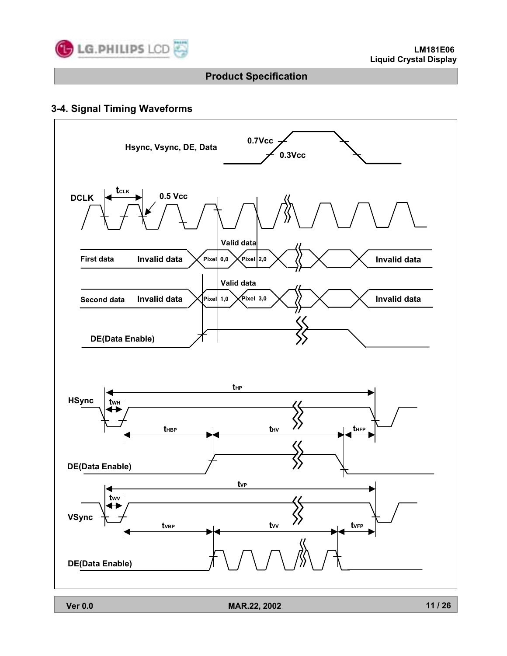

# **3-4. Signal Timing Waveforms**

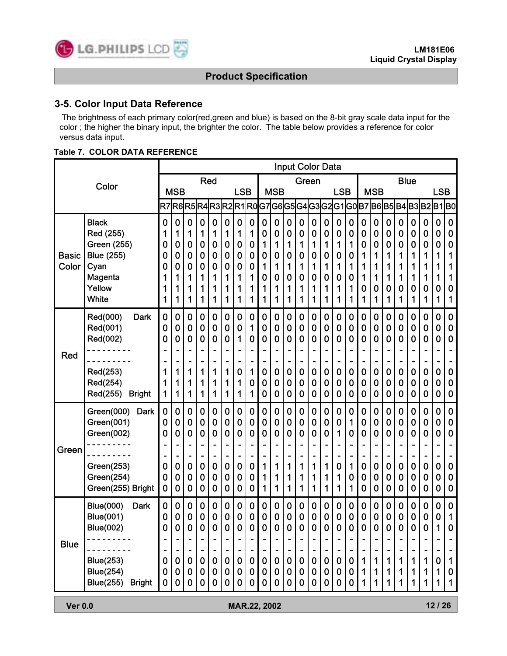

# **3-5. Color Input Data Reference**

The brightness of each primary color(red,green and blue) is based on the 8-bit gray scale data input for the color ; the higher the binary input, the brighter the color. The table below provides a reference for color versus data input.

#### **Table 7. COLOR DATA REFERENCE**

| Color                 |                                                                                                                                                      |                                                       |                                 |                                                |                                                                 |                                                |                                                |                                                  |                                                            |                                                |                                                   |                                                                                  |                                                    | <b>Input Color Data</b>                        |                                                        |                                                       |                                                        |                                      |                                                               |                                                             |                                                |                                                                      |                                                |                                 |                                                       |
|-----------------------|------------------------------------------------------------------------------------------------------------------------------------------------------|-------------------------------------------------------|---------------------------------|------------------------------------------------|-----------------------------------------------------------------|------------------------------------------------|------------------------------------------------|--------------------------------------------------|------------------------------------------------------------|------------------------------------------------|---------------------------------------------------|----------------------------------------------------------------------------------|----------------------------------------------------|------------------------------------------------|--------------------------------------------------------|-------------------------------------------------------|--------------------------------------------------------|--------------------------------------|---------------------------------------------------------------|-------------------------------------------------------------|------------------------------------------------|----------------------------------------------------------------------|------------------------------------------------|---------------------------------|-------------------------------------------------------|
|                       |                                                                                                                                                      | Red                                                   |                                 |                                                |                                                                 |                                                |                                                |                                                  |                                                            |                                                |                                                   |                                                                                  | Green                                              |                                                |                                                        |                                                       |                                                        |                                      |                                                               | <b>Blue</b>                                                 |                                                |                                                                      |                                                |                                 |                                                       |
|                       |                                                                                                                                                      | <b>MSB</b>                                            |                                 |                                                | <b>LSB</b>                                                      |                                                |                                                | <b>MSB</b>                                       |                                                            |                                                |                                                   |                                                                                  |                                                    | <b>LSB</b>                                     |                                                        |                                                       | <b>MSB</b>                                             |                                      |                                                               |                                                             |                                                | <b>LSB</b>                                                           |                                                |                                 |                                                       |
|                       |                                                                                                                                                      | R <sub>7</sub>                                        | R6R5                            |                                                |                                                                 |                                                |                                                |                                                  |                                                            |                                                |                                                   |                                                                                  |                                                    |                                                |                                                        |                                                       |                                                        |                                      |                                                               | R4 R3 R2 R1 R0 G7 G6 G5 G4 G3 G2 G1 G0 B7 B6 B5 B4 B3 B2 B1 |                                                |                                                                      |                                                |                                 | B0                                                    |
| <b>Basic</b><br>Color | <b>Black</b><br>Red (255)<br>Green (255)<br><b>Blue (255)</b><br>Cyan<br>Magenta<br>Yellow<br><b>White</b>                                           | $\mathbf 0$<br>1<br>0<br>0<br>0<br>1<br>1<br>1        | 0<br>1<br>0<br>0<br>0<br>1<br>1 | $\mathbf 0$<br>1<br>0<br>0<br>0<br>1<br>1<br>1 | $\mathbf 0$<br>1<br>$\bf{0}$<br>0<br>$\mathbf 0$<br>1<br>1<br>1 | $\mathbf 0$<br>1<br>0<br>0<br>0<br>1<br>1<br>1 | $\mathbf 0$<br>1<br>0<br>0<br>0<br>1<br>1<br>1 | 0<br>1<br>0<br>0<br>0<br>1<br>1<br>1             | 0<br>1<br>0<br>0<br>0<br>1<br>1<br>1                       | 0<br>0<br>1<br>0<br>1<br>0<br>1<br>1           | $\mathbf 0$<br>0<br>1<br>0<br>1<br>0<br>1<br>1    | $\bf{0}$<br>0<br>1<br>0<br>1<br>0<br>1<br>1                                      | $\mathbf 0$<br>0<br>1<br>0<br>1<br>0<br>1<br>1     | 0<br>0<br>1<br>0<br>1<br>0<br>1<br>1           | 0<br>0<br>1<br>0<br>1<br>0<br>1<br>1                   | $\mathbf 0$<br>0<br>1<br>0<br>1<br>0<br>1<br>1        | $\mathbf 0$<br>0<br>1<br>0<br>1<br>0<br>1<br>1         | 0<br>0<br>0<br>1<br>1<br>1<br>0<br>1 | $\bf{0}$<br>0<br>0<br>1<br>1<br>1<br>0<br>1                   | 0<br>0<br>0<br>1<br>1<br>1<br>0<br>1                        | $\mathbf 0$<br>0<br>0<br>1<br>1<br>1<br>0<br>1 | $\mathbf 0$<br>0<br>0<br>1<br>1<br>1<br>0<br>1                       | $\mathbf 0$<br>0<br>0<br>1<br>1<br>1<br>0<br>1 | 0<br>0<br>0<br>1<br>1<br>0<br>1 | $\mathbf 0$<br>0<br>0<br>1<br>1<br>1<br>0<br>1        |
| <b>Red</b>            | Red(000)<br><b>Dark</b><br>Red(001)<br>Red(002)<br>Red(253)<br>Red(254)<br>Red(255)<br><b>Bright</b>                                                 | $\mathbf 0$<br>0<br>0<br>1<br>1<br>1                  | 0<br>0<br>0<br>1<br>1<br>1      | $\mathbf 0$<br>0<br>0<br>1<br>1<br>1           | $\mathbf 0$<br>$\mathbf 0$<br>0<br>۰<br>1<br>1<br>1             | 0<br>0<br>0<br>1<br>1<br>1                     | 0<br>0<br>0<br>1<br>1<br>1                     | 0<br>0<br>1<br>-<br>$\bf{0}$<br>1<br>1           | 0<br>1<br>0<br>۰<br>1<br>0<br>1                            | 0<br>0<br>0<br>0<br>0<br>0                     | $\mathbf 0$<br>0<br>0<br>-<br>$\bf{0}$<br>0<br>0  | $\mathbf 0$<br>0<br>0<br>٠<br>$\qquad \qquad \blacksquare$<br>$\bf{0}$<br>0<br>0 | 0<br>0<br>0<br>$\bf{0}$<br>0<br>0                  | 0<br>0<br>0<br>0<br>0<br>0                     | 0<br>0<br>0<br>$\overline{a}$<br>$\bf{0}$<br>0<br>0    | $\mathbf 0$<br>0<br>0<br>۰<br>$\bf{0}$<br>0<br>0      | $\mathbf 0$<br>0<br>0<br>$\bf{0}$<br>0<br>0            | 0<br>0<br>0<br>-<br>0<br>0<br>0      | 0<br>0<br>0<br>٠<br>$\blacksquare$<br>$\bf{0}$<br>0<br>0      | 0<br>0<br>0<br>0<br>0<br>0                                  | 0<br>0<br>0<br>$\bf{0}$<br>0<br>0              | 0<br>0<br>0<br>$\overline{a}$<br>$\bf{0}$<br>0<br>0                  | 0<br>0<br>0<br>0<br>0<br>0                     | 0<br>0<br>0<br>0<br>0<br>0      | $\bf{0}$<br>0<br>0<br>$\bf{0}$<br>0<br>0              |
| Green                 | Green(000)<br><b>Dark</b><br>Green(001)<br>Green(002)<br>Green(253)<br>Green(254)<br>Green(255) Bright                                               | $\bf{0}$<br>0<br>0<br>0<br>0<br>0                     | 0<br>0<br>0<br>0<br>0<br>0      | $\mathbf 0$<br>0<br>0<br>0<br>0<br>0           | $\mathbf 0$<br>0<br>$\mathbf 0$<br>-<br>$\bf{0}$<br>0<br>0      | 0<br>0<br>0<br>0<br>0<br>0                     | $\mathbf 0$<br>0<br>0<br>0<br>0<br>0           | $\mathbf 0$<br>0<br>0<br>-<br>$\bf{0}$<br>0<br>0 | 0<br>0<br>0<br>۰<br>$\bf{0}$<br>0<br>0                     | 0<br>0<br>0<br>1<br>1<br>1                     | $\mathbf 0$<br>0<br>0<br>1<br>1<br>1              | $\bf{0}$<br>0<br>0<br>-<br>1<br>1<br>1                                           | 0<br>0<br>0<br>1<br>1<br>1                         | 0<br>0<br>0<br>1<br>1<br>1                     | $\mathbf 0$<br>0<br>0<br>$\blacksquare$<br>1<br>1<br>1 | $\mathbf 0$<br>0<br>1<br>۰<br>۰<br>$\bf{0}$<br>1<br>1 | $\mathbf 0$<br>1<br>0<br>1<br>0<br>1                   | 0<br>0<br>0<br>-<br>0<br>0<br>0      | $\mathbf 0$<br>0<br>0<br>$\blacksquare$<br>$\bf{0}$<br>0<br>0 | 0<br>0<br>0<br>0<br>0<br>0                                  | $\mathbf 0$<br>0<br>0<br>$\bf{0}$<br>0<br>0    | $\mathbf 0$<br>0<br>0<br>$\qquad \qquad \blacksquare$<br>0<br>0<br>0 | 0<br>0<br>0<br>0<br>0<br>0                     | 0<br>0<br>0<br>0<br>0<br>0      | $\mathbf 0$<br>0<br>0<br>$\bf{0}$<br>0<br>$\mathbf 0$ |
| <b>Blue</b>           | <b>Blue(000)</b><br><b>Dark</b><br><b>Blue(001)</b><br><b>Blue(002)</b><br><b>Blue(253)</b><br><b>Blue(254)</b><br><b>Blue(255)</b><br><b>Bright</b> | $\mathbf 0$<br>0<br>0<br>$\bf{0}$<br>0<br>$\mathbf 0$ | 0<br>0<br>0<br> 0 <br>0<br>0    | 0<br>0<br>0<br>$\bf{0}$<br>$\bf{0}$<br>0       | $\mathbf 0$<br>0<br>0<br>$\pmb{0}$<br>$\pmb{0}$<br>$\mathbf 0$  | 0<br>0<br>0<br>$\mathbf 0$<br>$\mathbf 0$<br>0 | 0<br>0<br>0<br>$\bf{0}$<br>0<br>0              | 0<br>0<br>0<br>$\pmb{0}$<br>$\mathbf 0$<br>0     | $\mathbf 0$<br>0<br>0<br>$\mathbf{0}$<br>$\mathbf{0}$<br>0 | 0<br>0<br>0<br>$\mathbf 0$<br>$\mathbf 0$<br>0 | $\bf{0}$<br>0<br>0<br>$\pmb{0}$<br>$\pmb{0}$<br>0 | $\mathbf 0$<br>0<br>0<br>$\pmb{0}$<br>$\mathbf 0$<br>$\mathbf 0$                 | 0<br>0<br>0<br> 0 <br>$\bf{0}$<br>$\boldsymbol{0}$ | 0<br>0<br>0<br>$\mathbf 0$<br>$\mathbf 0$<br>0 | 0<br>0<br>0<br>$\pmb{0}$<br>$\mathbf 0$<br>0           | $\mathbf 0$<br>0<br>0<br>$\mathbf 0$<br>$\bf{0}$<br>0 | $\mathbf 0$<br>0<br>0<br>$\pmb{0}$<br>$\mathbf 0$<br>0 | 0<br>0<br>0<br>1<br>1<br>1           | $\mathbf 0$<br>0<br>0<br>1<br>1<br>1                          | 0<br>0<br>0<br>1<br>1<br>1                                  | $\mathbf 0$<br>0<br>0<br>1<br>1<br>1           | 0<br>0<br>0<br>1<br>1<br>1                                           | 0<br>0<br>0<br>1<br>1<br>1                     | 0<br>0<br>0<br>1                | $\mathbf 0$<br>1<br>0<br>1<br>0<br>1                  |
|                       | <b>Ver 0.0</b><br>12/26<br>MAR.22, 2002                                                                                                              |                                                       |                                 |                                                |                                                                 |                                                |                                                |                                                  |                                                            |                                                |                                                   |                                                                                  |                                                    |                                                |                                                        |                                                       |                                                        |                                      |                                                               |                                                             |                                                |                                                                      |                                                |                                 |                                                       |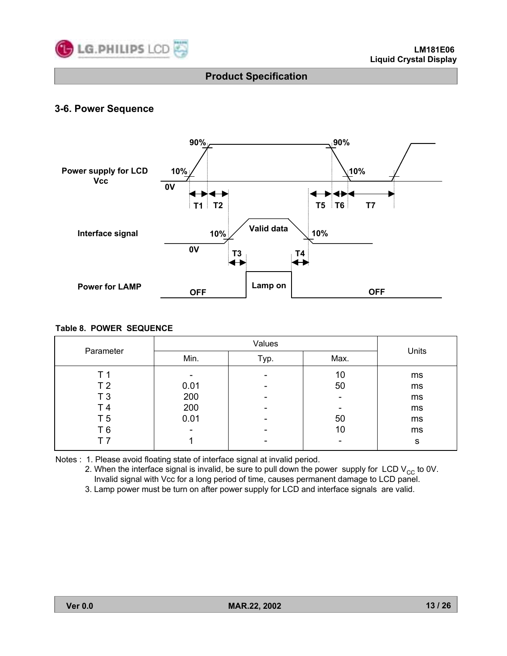

# **3-6. Power Sequence**



#### **Table 8. POWER SEQUENCE**

| Parameter      |                          | Units |      |    |
|----------------|--------------------------|-------|------|----|
|                | Min.<br>Typ.             |       | Max. |    |
| T 1            | ۰                        | -     | 10   | ms |
| T <sub>2</sub> | 0.01                     |       | 50   | ms |
| T <sub>3</sub> | 200                      |       |      | ms |
| T <sub>4</sub> | 200                      |       |      | ms |
| T 5            | 0.01                     |       | 50   | ms |
| T 6            | $\overline{\phantom{0}}$ |       | 10   | ms |
|                |                          | -     |      | s  |

Notes : 1. Please avoid floating state of interface signal at invalid period.

2. When the interface signal is invalid, be sure to pull down the power supply for LCD  $V_{CC}$  to 0V. Invalid signal with Vcc for a long period of time, causes permanent damage to LCD panel. 3. Lamp power must be turn on after power supply for LCD and interface signals are valid.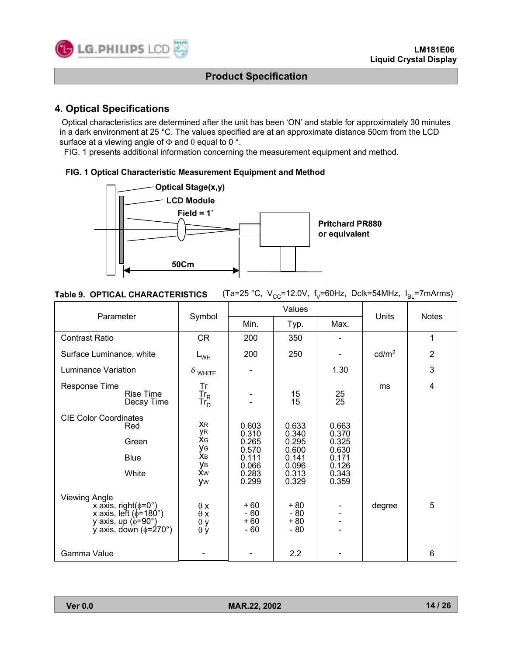

# **4. Optical Specifications**

Optical characteristics are determined after the unit has been 'ON' and stable for approximately 30 minutes in a dark environment at 25 °C. The values specified are at an approximate distance 50cm from the LCD surface at a viewing angle of  $\Phi$  and  $\theta$  equal to 0 °.

FIG. 1 presents additional information concerning the measurement equipment and method.

#### **FIG. 1 Optical Characteristic Measurement Equipment and Method**



| <b>Table 9. OPTICAL CHARACTERISTICS</b> (Ta=25 °C, $V_{CC}$ =12.0V, $f_v$ =60Hz, Dclk=54MHz, $I_{BL}$ =7mArms) |  |  |  |  |
|----------------------------------------------------------------------------------------------------------------|--|--|--|--|
|----------------------------------------------------------------------------------------------------------------|--|--|--|--|

|                                                                                                                                                 |                                                                   |                                                                      | Values                                                               |                                                                      |                   |                |
|-------------------------------------------------------------------------------------------------------------------------------------------------|-------------------------------------------------------------------|----------------------------------------------------------------------|----------------------------------------------------------------------|----------------------------------------------------------------------|-------------------|----------------|
| Parameter                                                                                                                                       | Symbol                                                            | Min.                                                                 | Typ.                                                                 | Max.                                                                 | Units             | <b>Notes</b>   |
| <b>Contrast Ratio</b>                                                                                                                           | <b>CR</b>                                                         | 200                                                                  | 350                                                                  |                                                                      |                   | 1              |
| Surface Luminance, white                                                                                                                        | $L_{WH}$                                                          | 200                                                                  | 250                                                                  |                                                                      | cd/m <sup>2</sup> | $\overline{2}$ |
| <b>Luminance Variation</b>                                                                                                                      | $\delta$ white                                                    |                                                                      |                                                                      | 1.30                                                                 |                   | 3              |
| Response Time<br><b>Rise Time</b><br>Decay Time                                                                                                 | Tr<br>$Tr_R$<br>Tr <sub>D</sub>                                   |                                                                      | 15<br>15                                                             | $\frac{25}{25}$                                                      | ms                | 4              |
| <b>CIE Color Coordinates</b><br>Red<br>Green<br><b>Blue</b><br>White                                                                            | <b>XR</b><br>уR<br><b>XG</b><br>УG<br>Xв<br>ув<br><b>Xw</b><br>yw | 0.603<br>0.310<br>0.265<br>0.570<br>0.111<br>0.066<br>0.283<br>0.299 | 0.633<br>0.340<br>0.295<br>0.600<br>0.141<br>0.096<br>0.313<br>0.329 | 0.663<br>0.370<br>0.325<br>0.630<br>0.171<br>0.126<br>0.343<br>0.359 |                   |                |
| <b>Viewing Angle</b><br>x axis, right( $\phi$ =0°)<br>x axis, left ( $\phi$ =180°)<br>y axis, up ( $\phi$ =90°)<br>y axis, down ( $\phi$ =270°) | $\theta x$<br>$\theta x$<br>$\theta$ y<br>$\theta$ y              | $+60$<br>$-60$<br>$+60$<br>$-60$                                     | $+80$<br>$-80$<br>$+80$<br>$-80$                                     |                                                                      | degree            | 5              |
| Gamma Value                                                                                                                                     |                                                                   |                                                                      | 2.2                                                                  |                                                                      |                   | 6              |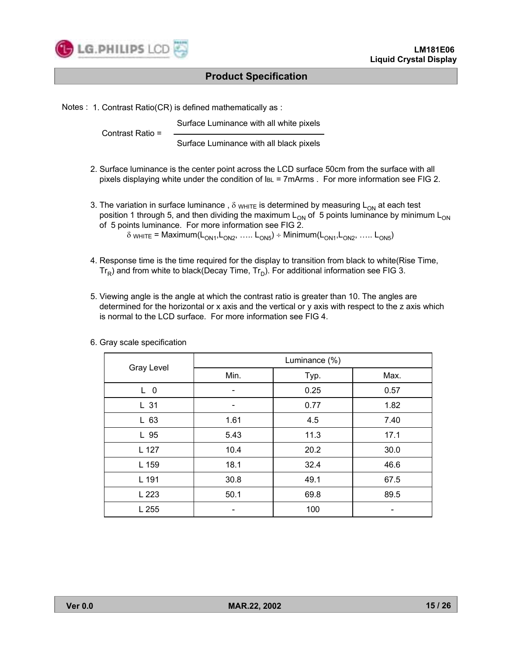

Notes : 1. Contrast Ratio(CR) is defined mathematically as :

Surface Luminance with all white pixels Contrast Ratio = Surface Luminance with all black pixels

- 2. Surface luminance is the center point across the LCD surface 50cm from the surface with all pixels displaying white under the condition of IBL = 7mArms . For more information see FIG 2.
- 3. The variation in surface luminance,  $\delta$  w<sub>HITE</sub> is determined by measuring L<sub>ON</sub> at each test position 1 through 5, and then dividing the maximum  $L_{ON}$  of 5 points luminance by minimum  $L_{ON}$ of 5 points luminance. For more information see FIG 2.  $\delta$  white = Maximum(L<sub>ON1</sub>,L<sub>ON2</sub>, ..... L<sub>ON5</sub>) ÷ Minimum(L<sub>ON1</sub>,L<sub>ON2</sub>, ..... L<sub>ON5</sub>)
- 4. Response time is the time required for the display to transition from black to white(Rise Time,  $Tr_{\rm p}$ ) and from white to black(Decay Time,  $Tr_{\rm p}$ ). For additional information see FIG 3.
- 5. Viewing angle is the angle at which the contrast ratio is greater than 10. The angles are determined for the horizontal or x axis and the vertical or y axis with respect to the z axis which is normal to the LCD surface. For more information see FIG 4.

|                 | Luminance (%) |      |      |  |  |  |
|-----------------|---------------|------|------|--|--|--|
| Gray Level      | Min.          | Typ. | Max. |  |  |  |
| L <sub>0</sub>  |               | 0.25 | 0.57 |  |  |  |
| L <sub>31</sub> |               | 0.77 | 1.82 |  |  |  |
| $L$ 63          | 1.61          | 4.5  | 7.40 |  |  |  |
| L 95            | 5.43          | 11.3 | 17.1 |  |  |  |
| L 127           | 10.4          | 20.2 | 30.0 |  |  |  |
| L 159           | 18.1          | 32.4 | 46.6 |  |  |  |
| L 191           | 30.8          | 49.1 | 67.5 |  |  |  |
| L 223           | 50.1          | 69.8 | 89.5 |  |  |  |
| L 255           |               | 100  |      |  |  |  |

6. Gray scale specification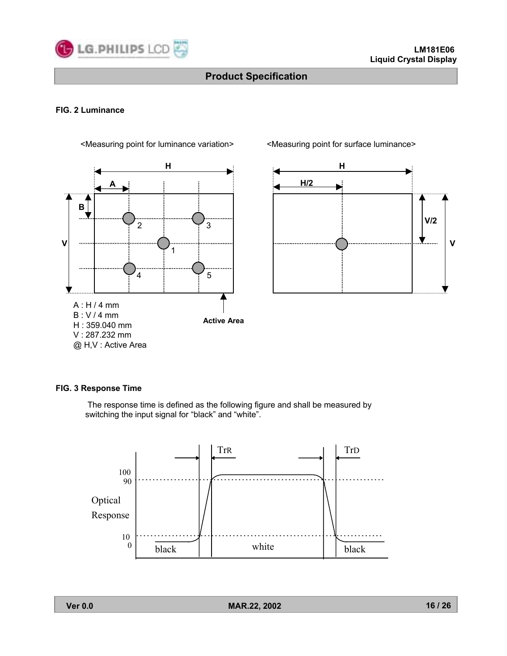

### **FIG. 2 Luminance**



<Measuring point for luminance variation> <Measuring point for surface luminance>



#### **FIG. 3 Response Time**

The response time is defined as the following figure and shall be measured by switching the input signal for "black" and "white".

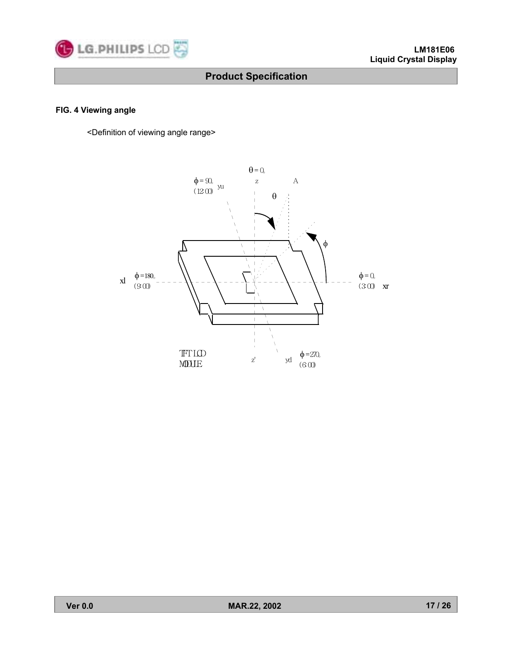

# **FIG. 4 Viewing angle**

<Definition of viewing angle range>

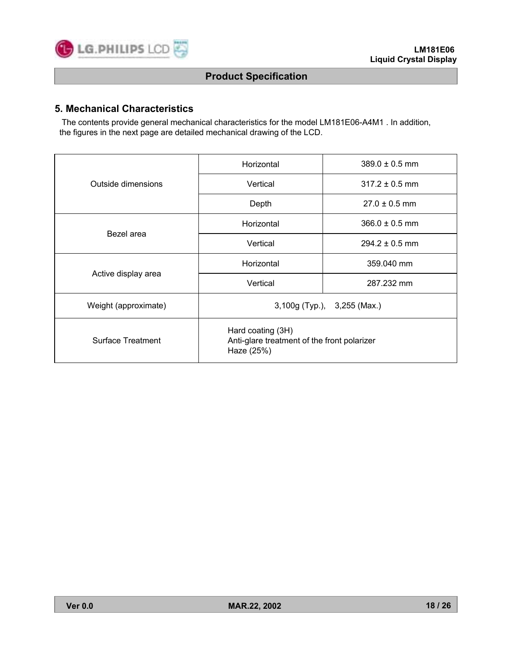

# **5. Mechanical Characteristics**

The contents provide general mechanical characteristics for the model LM181E06-A4M1 . In addition, the figures in the next page are detailed mechanical drawing of the LCD.

|                          | Horizontal                                                                     | $389.0 \pm 0.5$ mm |  |  |  |
|--------------------------|--------------------------------------------------------------------------------|--------------------|--|--|--|
| Outside dimensions       | Vertical                                                                       | $317.2 \pm 0.5$ mm |  |  |  |
|                          | Depth                                                                          | $27.0 \pm 0.5$ mm  |  |  |  |
| Bezel area               | Horizontal                                                                     | $366.0 \pm 0.5$ mm |  |  |  |
|                          | Vertical                                                                       | $294.2 \pm 0.5$ mm |  |  |  |
|                          | Horizontal                                                                     | 359.040 mm         |  |  |  |
| Active display area      | Vertical                                                                       | 287.232 mm         |  |  |  |
| Weight (approximate)     | 3,100g (Typ.), 3,255 (Max.)                                                    |                    |  |  |  |
| <b>Surface Treatment</b> | Hard coating (3H)<br>Anti-glare treatment of the front polarizer<br>Haze (25%) |                    |  |  |  |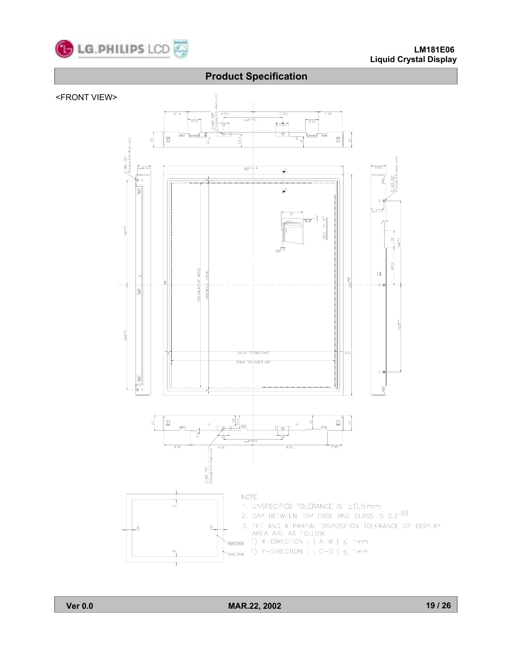

#### **LM181E06 Liquid Crystal Display**

# **Product Specification**

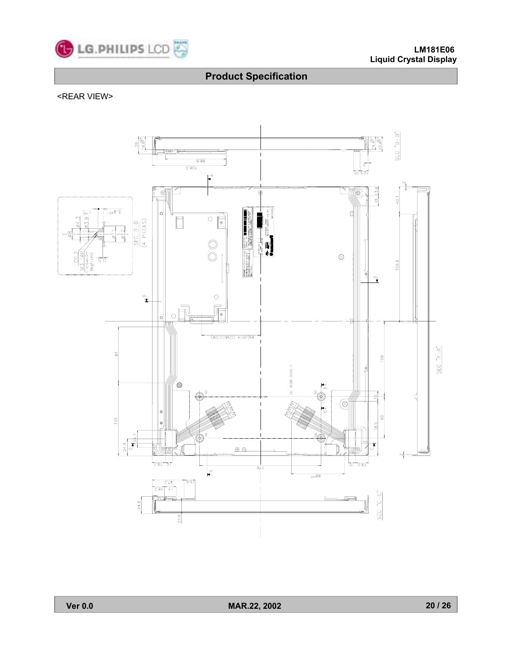

### <REAR VIEW>

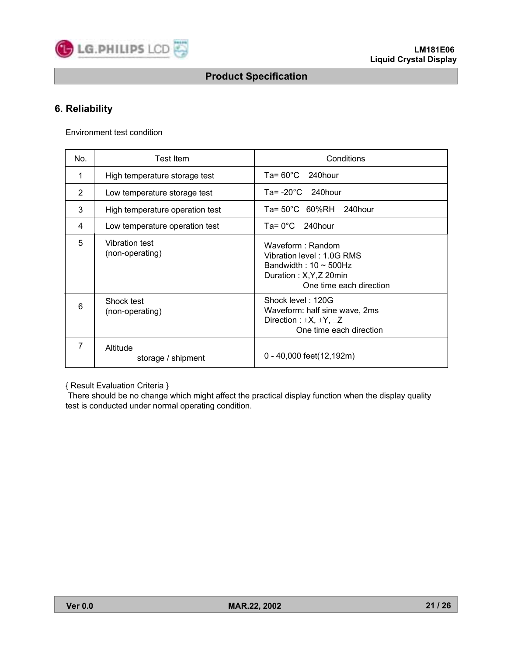

# **6. Reliability**

Environment test condition

| No.            | Test Item                         | Conditions                                                                                                                         |  |  |  |  |
|----------------|-----------------------------------|------------------------------------------------------------------------------------------------------------------------------------|--|--|--|--|
| 1              | High temperature storage test     | Ta= $60^{\circ}$ C<br>240hour                                                                                                      |  |  |  |  |
| $\overline{2}$ | Low temperature storage test      | Ta= $-20^{\circ}$ C 240hour                                                                                                        |  |  |  |  |
| 3              | High temperature operation test   | $Ta = 50^{\circ}C$ 60%RH 240hour                                                                                                   |  |  |  |  |
| 4              | Low temperature operation test    | Ta= 0°C<br>240hour                                                                                                                 |  |  |  |  |
| 5              | Vibration test<br>(non-operating) | Waveform: Random<br>Vibration level: 1.0G RMS<br>Bandwidth: $10 \sim 500$ Hz<br>Duration: X, Y, Z 20min<br>One time each direction |  |  |  |  |
| 6              | Shock test<br>(non-operating)     | Shock level: 120G<br>Waveform: half sine wave, 2ms<br>Direction : $\pm X$ , $\pm Y$ , $\pm Z$<br>One time each direction           |  |  |  |  |
| 7              | Altitude<br>storage / shipment    | $0 - 40,000$ feet(12,192m)                                                                                                         |  |  |  |  |

{ Result Evaluation Criteria }

There should be no change which might affect the practical display function when the display quality test is conducted under normal operating condition.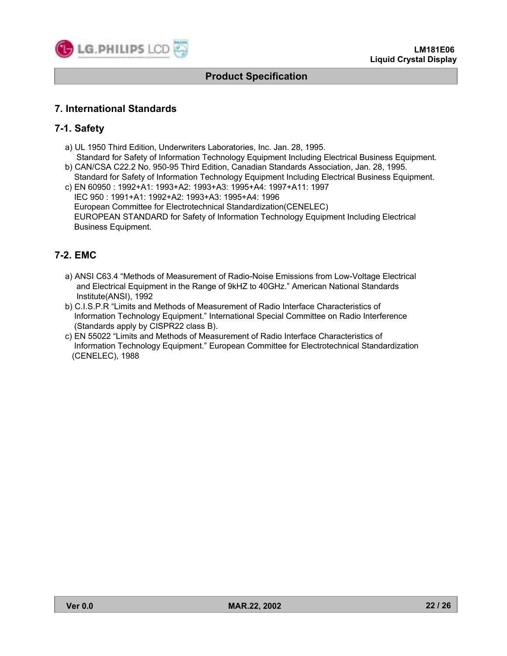

# **7. International Standards**

Business Equipment.

# **7-1. Safety**

- a) UL 1950 Third Edition, Underwriters Laboratories, Inc. Jan. 28, 1995.
- Standard for Safety of Information Technology Equipment Including Electrical Business Equipment. b) CAN/CSA C22.2 No. 950-95 Third Edition, Canadian Standards Association, Jan. 28, 1995.
- Standard for Safety of Information Technology Equipment Including Electrical Business Equipment. c) EN 60950 : 1992+A1: 1993+A2: 1993+A3: 1995+A4: 1997+A11: 1997 IEC 950 : 1991+A1: 1992+A2: 1993+A3: 1995+A4: 1996 European Committee for Electrotechnical Standardization(CENELEC) EUROPEAN STANDARD for Safety of Information Technology Equipment Including Electrical

# **7-2. EMC**

- a) ANSI C63.4 "Methods of Measurement of Radio-Noise Emissions from Low-Voltage Electrical and Electrical Equipment in the Range of 9kHZ to 40GHz." American National Standards Institute(ANSI), 1992
- b) C.I.S.P.R "Limits and Methods of Measurement of Radio Interface Characteristics of Information Technology Equipment." International Special Committee on Radio Interference (Standards apply by CISPR22 class B).
- c) EN 55022 "Limits and Methods of Measurement of Radio Interface Characteristics of Information Technology Equipment.î European Committee for Electrotechnical Standardization (CENELEC), 1988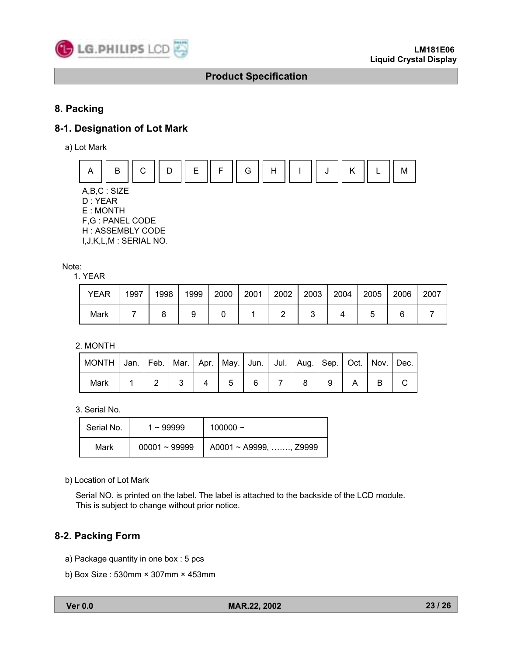

# **8. Packing**

# **8-1. Designation of Lot Mark**

a) Lot Mark



D : YEAR E : MONTH F,G : PANEL CODE H : ASSEMBLY CODE I,J,K,L,M : SERIAL NO.

Note:

1. YEAR

| YEAR | 1997 | 1998 | 1999 | 2000 | 2001 | 2002 | 2003 | 2004 | 2005 | 2006 | 2007 |
|------|------|------|------|------|------|------|------|------|------|------|------|
| Mark |      |      |      |      |      |      |      |      |      |      |      |

2. MONTH

| MONTH   Jan.   Feb.   Mar.   Apr.   May.   Jun.   Jul.   Aug.   Sep.   Oct.   Nov.   Dec. |  |  |  |  |  |  |
|-------------------------------------------------------------------------------------------|--|--|--|--|--|--|
| Mark                                                                                      |  |  |  |  |  |  |

3. Serial No.

| Serial No. | $1 - 99999$     | 100000 $\sim$                      |
|------------|-----------------|------------------------------------|
| Mark       | $00001 - 99999$ | $A0001 \sim A9999, \ldots$ , Z9999 |

b) Location of Lot Mark

Serial NO. is printed on the label. The label is attached to the backside of the LCD module. This is subject to change without prior notice.

# **8-2. Packing Form**

- a) Package quantity in one box : 5 pcs
- b) Box Size : 530mm × 307mm × 453mm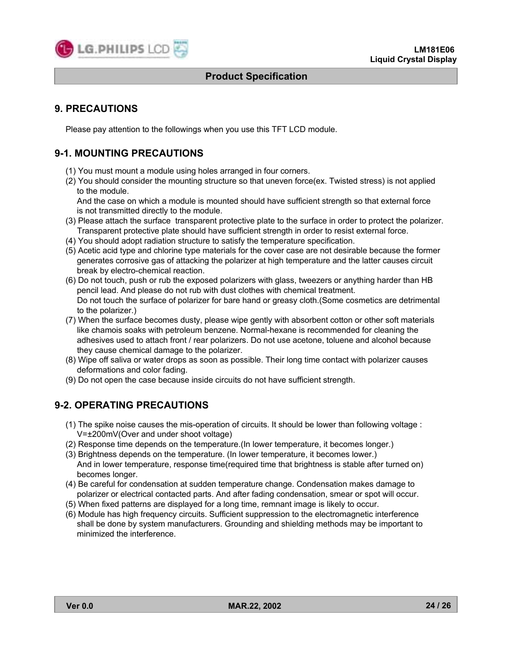

# **9. PRECAUTIONS**

Please pay attention to the followings when you use this TFT LCD module.

# **9-1. MOUNTING PRECAUTIONS**

- (1) You must mount a module using holes arranged in four corners.
- (2) You should consider the mounting structure so that uneven force(ex. Twisted stress) is not applied to the module.

And the case on which a module is mounted should have sufficient strength so that external force is not transmitted directly to the module.

- (3) Please attach the surface transparent protective plate to the surface in order to protect the polarizer. Transparent protective plate should have sufficient strength in order to resist external force.
- (4) You should adopt radiation structure to satisfy the temperature specification.
- (5) Acetic acid type and chlorine type materials for the cover case are not desirable because the former generates corrosive gas of attacking the polarizer at high temperature and the latter causes circuit break by electro-chemical reaction.
- (6) Do not touch, push or rub the exposed polarizers with glass, tweezers or anything harder than HB pencil lead. And please do not rub with dust clothes with chemical treatment. Do not touch the surface of polarizer for bare hand or greasy cloth.(Some cosmetics are detrimental to the polarizer.)
- (7) When the surface becomes dusty, please wipe gently with absorbent cotton or other soft materials like chamois soaks with petroleum benzene. Normal-hexane is recommended for cleaning the adhesives used to attach front / rear polarizers. Do not use acetone, toluene and alcohol because they cause chemical damage to the polarizer.
- (8) Wipe off saliva or water drops as soon as possible. Their long time contact with polarizer causes deformations and color fading.
- (9) Do not open the case because inside circuits do not have sufficient strength.

# **9-2. OPERATING PRECAUTIONS**

- (1) The spike noise causes the mis-operation of circuits. It should be lower than following voltage : V=±200mV(Over and under shoot voltage)
- (2) Response time depends on the temperature.(In lower temperature, it becomes longer.)
- (3) Brightness depends on the temperature. (In lower temperature, it becomes lower.) And in lower temperature, response time(required time that brightness is stable after turned on) becomes longer.
- (4) Be careful for condensation at sudden temperature change. Condensation makes damage to polarizer or electrical contacted parts. And after fading condensation, smear or spot will occur.
- (5) When fixed patterns are displayed for a long time, remnant image is likely to occur.
- (6) Module has high frequency circuits. Sufficient suppression to the electromagnetic interference shall be done by system manufacturers. Grounding and shielding methods may be important to minimized the interference.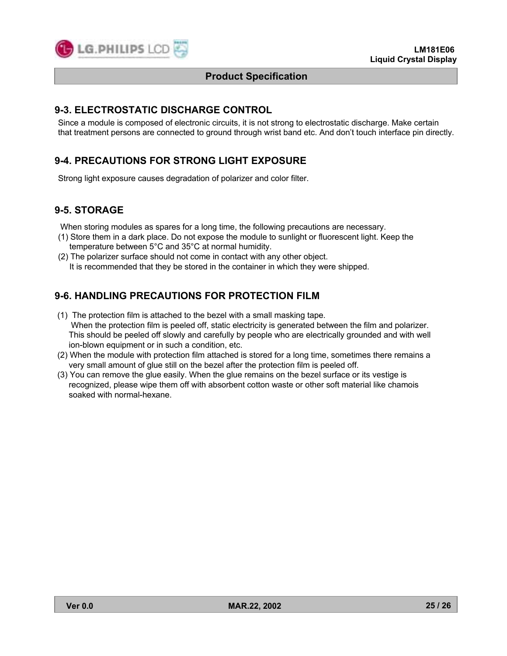

# **9-3. ELECTROSTATIC DISCHARGE CONTROL**

Since a module is composed of electronic circuits, it is not strong to electrostatic discharge. Make certain that treatment persons are connected to ground through wrist band etc. And don't touch interface pin directly.

# **9-4. PRECAUTIONS FOR STRONG LIGHT EXPOSURE**

Strong light exposure causes degradation of polarizer and color filter.

# **9-5. STORAGE**

When storing modules as spares for a long time, the following precautions are necessary.

- (1) Store them in a dark place. Do not expose the module to sunlight or fluorescent light. Keep the temperature between 5°C and 35°C at normal humidity.
- (2) The polarizer surface should not come in contact with any other object. It is recommended that they be stored in the container in which they were shipped.

# **9-6. HANDLING PRECAUTIONS FOR PROTECTION FILM**

- (1) The protection film is attached to the bezel with a small masking tape. When the protection film is peeled off, static electricity is generated between the film and polarizer. This should be peeled off slowly and carefully by people who are electrically grounded and with well ion-blown equipment or in such a condition, etc.
- (2) When the module with protection film attached is stored for a long time, sometimes there remains a very small amount of glue still on the bezel after the protection film is peeled off.
- (3) You can remove the glue easily. When the glue remains on the bezel surface or its vestige is recognized, please wipe them off with absorbent cotton waste or other soft material like chamois soaked with normal-hexane.